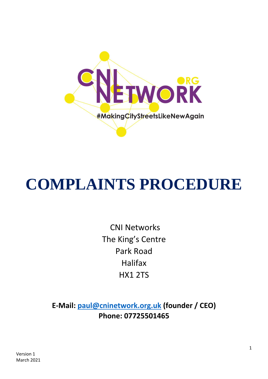

# **COMPLAINTS PROCEDURE**

 CNI Networks The King's Centre Park Road Halifax HX1 2TS

**E-Mail: [paul@cninetwork.org.uk](mailto:paul@cninetwork.org.uk) (founder / CEO) Phone: 07725501465**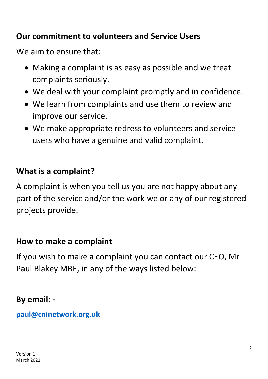## **Our commitment to volunteers and Service Users**

We aim to ensure that:

- Making a complaint is as easy as possible and we treat complaints seriously.
- We deal with your complaint promptly and in confidence.
- We learn from complaints and use them to review and improve our service.
- We make appropriate redress to volunteers and service users who have a genuine and valid complaint.

## **What is a complaint?**

A complaint is when you tell us you are not happy about any part of the service and/or the work we or any of our registered projects provide.

#### **How to make a complaint**

If you wish to make a complaint you can contact our CEO, Mr Paul Blakey MBE, in any of the ways listed below:

#### **By email: -**

**[paul@cninetwork.org.uk](mailto:paul@cninetwork.org.uk)**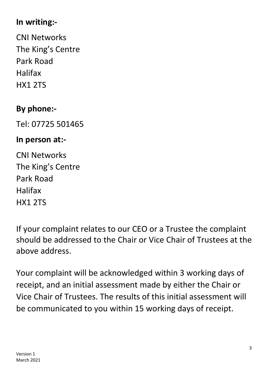# **In writing:-**

CNI Networks The King's Centre Park Road Halifax HX1 2TS

# **By phone:-**

Tel: 07725 501465

## **In person at:-**

CNI Networks The King's Centre Park Road Halifax HX1 2TS

If your complaint relates to our CEO or a Trustee the complaint should be addressed to the Chair or Vice Chair of Trustees at the above address.

Your complaint will be acknowledged within 3 working days of receipt, and an initial assessment made by either the Chair or Vice Chair of Trustees. The results of this initial assessment will be communicated to you within 15 working days of receipt.